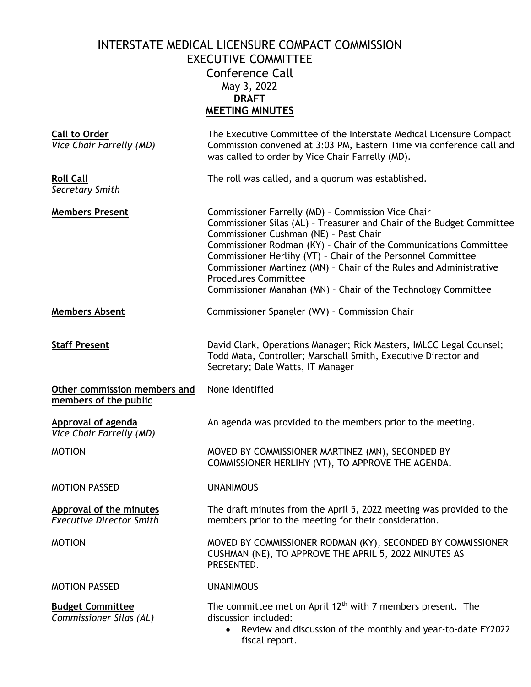## INTERSTATE MEDICAL LICENSURE COMPACT COMMISSION EXECUTIVE COMMITTEE Conference Call May 3, 2022 **DRAFT MEETING MINUTES**

| <b>Call to Order</b><br>Vice Chair Farrelly (MD)           | The Executive Committee of the Interstate Medical Licensure Compact<br>Commission convened at 3:03 PM, Eastern Time via conference call and<br>was called to order by Vice Chair Farrelly (MD).                                                                                                                                                                                                                                                                                 |
|------------------------------------------------------------|---------------------------------------------------------------------------------------------------------------------------------------------------------------------------------------------------------------------------------------------------------------------------------------------------------------------------------------------------------------------------------------------------------------------------------------------------------------------------------|
| <b>Roll Call</b><br>Secretary Smith                        | The roll was called, and a quorum was established.                                                                                                                                                                                                                                                                                                                                                                                                                              |
| <b>Members Present</b>                                     | Commissioner Farrelly (MD) - Commission Vice Chair<br>Commissioner Silas (AL) - Treasurer and Chair of the Budget Committee<br>Commissioner Cushman (NE) - Past Chair<br>Commissioner Rodman (KY) - Chair of the Communications Committee<br>Commissioner Herlihy (VT) - Chair of the Personnel Committee<br>Commissioner Martinez (MN) - Chair of the Rules and Administrative<br><b>Procedures Committee</b><br>Commissioner Manahan (MN) - Chair of the Technology Committee |
| <b>Members Absent</b>                                      | Commissioner Spangler (WV) - Commission Chair                                                                                                                                                                                                                                                                                                                                                                                                                                   |
| <b>Staff Present</b>                                       | David Clark, Operations Manager; Rick Masters, IMLCC Legal Counsel;<br>Todd Mata, Controller; Marschall Smith, Executive Director and<br>Secretary; Dale Watts, IT Manager                                                                                                                                                                                                                                                                                                      |
| Other commission members and<br>members of the public      | None identified                                                                                                                                                                                                                                                                                                                                                                                                                                                                 |
| <b>Approval of agenda</b><br>Vice Chair Farrelly (MD)      | An agenda was provided to the members prior to the meeting.                                                                                                                                                                                                                                                                                                                                                                                                                     |
| <b>MOTION</b>                                              | MOVED BY COMMISSIONER MARTINEZ (MN), SECONDED BY<br>COMMISSIONER HERLIHY (VT), TO APPROVE THE AGENDA.                                                                                                                                                                                                                                                                                                                                                                           |
| <b>MOTION PASSED</b>                                       | <b>UNANIMOUS</b>                                                                                                                                                                                                                                                                                                                                                                                                                                                                |
| Approval of the minutes<br><b>Executive Director Smith</b> | The draft minutes from the April 5, 2022 meeting was provided to the<br>members prior to the meeting for their consideration.                                                                                                                                                                                                                                                                                                                                                   |
| <b>MOTION</b>                                              | MOVED BY COMMISSIONER RODMAN (KY), SECONDED BY COMMISSIONER<br>CUSHMAN (NE), TO APPROVE THE APRIL 5, 2022 MINUTES AS<br>PRESENTED.                                                                                                                                                                                                                                                                                                                                              |
| <b>MOTION PASSED</b>                                       | <b>UNANIMOUS</b>                                                                                                                                                                                                                                                                                                                                                                                                                                                                |
| <b>Budget Committee</b><br>Commissioner Silas (AL)         | The committee met on April $12th$ with 7 members present. The<br>discussion included:<br>Review and discussion of the monthly and year-to-date FY2022<br>$\bullet$<br>fiscal report.                                                                                                                                                                                                                                                                                            |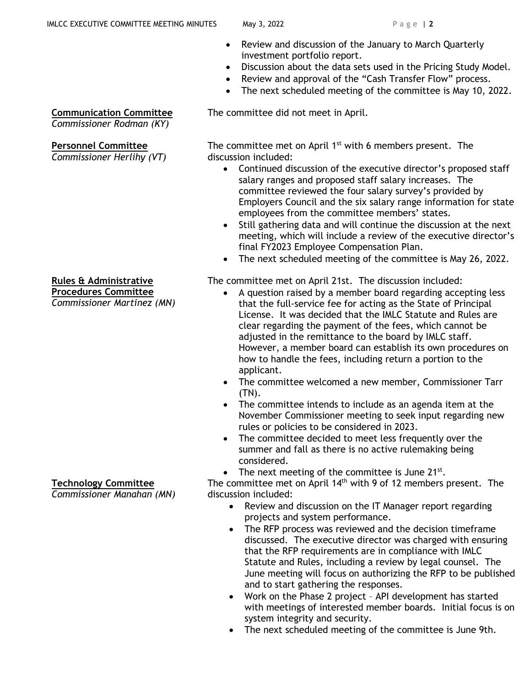- Review and discussion of the January to March Quarterly investment portfolio report.
- Discussion about the data sets used in the Pricing Study Model.
- Review and approval of the "Cash Transfer Flow" process.
- The next scheduled meeting of the committee is May 10, 2022.

The committee did not meet in April.

The committee met on April  $1<sup>st</sup>$  with 6 members present. The discussion included:

- Continued discussion of the executive director's proposed staff salary ranges and proposed staff salary increases. The committee reviewed the four salary survey's provided by Employers Council and the six salary range information for state employees from the committee members' states.
- Still gathering data and will continue the discussion at the next meeting, which will include a review of the executive director's final FY2023 Employee Compensation Plan.
- The next scheduled meeting of the committee is May 26, 2022.

The committee met on April 21st. The discussion included:

- A question raised by a member board regarding accepting less that the full-service fee for acting as the State of Principal License. It was decided that the IMLC Statute and Rules are clear regarding the payment of the fees, which cannot be adjusted in the remittance to the board by IMLC staff. However, a member board can establish its own procedures on how to handle the fees, including return a portion to the applicant.
- The committee welcomed a new member, Commissioner Tarr (TN).
- The committee intends to include as an agenda item at the November Commissioner meeting to seek input regarding new rules or policies to be considered in 2023.
- The committee decided to meet less frequently over the summer and fall as there is no active rulemaking being considered.
- The next meeting of the committee is June  $21^{st}$ .

The committee met on April  $14<sup>th</sup>$  with 9 of 12 members present. The discussion included:

- Review and discussion on the IT Manager report regarding projects and system performance.
- The RFP process was reviewed and the decision timeframe discussed. The executive director was charged with ensuring that the RFP requirements are in compliance with IMLC Statute and Rules, including a review by legal counsel. The June meeting will focus on authorizing the RFP to be published and to start gathering the responses.
- Work on the Phase 2 project API development has started with meetings of interested member boards. Initial focus is on system integrity and security.
- The next scheduled meeting of the committee is June 9th.

**Communication Committee**

*Commissioner Rodman (KY)*

## **Personnel Committee**

*Commissioner Herlihy (VT)*

## **Rules & Administrative**

**Procedures Committee** *Commissioner Martinez (MN)*

## **Technology Committee**

*Commissioner Manahan (MN)*